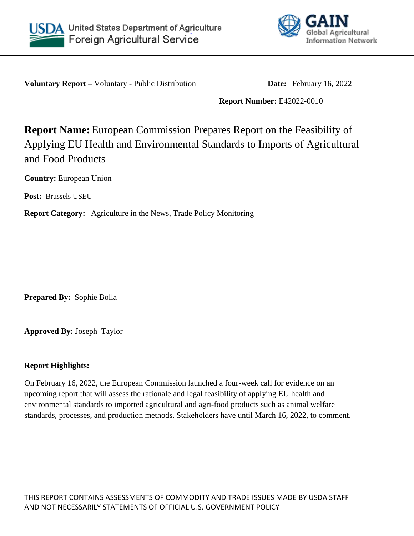



**Voluntary Report** – Voluntary - Public Distribution **Date:** February 16, 2022

**Report Number:** E42022-0010

# **Report Name:** European Commission Prepares Report on the Feasibility of Applying EU Health and Environmental Standards to Imports of Agricultural and Food Products

**Country:** European Union

**Post:** Brussels USEU

**Report Category:** Agriculture in the News, Trade Policy Monitoring

**Prepared By:** Sophie Bolla

**Approved By:** Joseph Taylor

#### **Report Highlights:**

On February 16, 2022, the European Commission launched a four-week call for evidence on an upcoming report that will assess the rationale and legal feasibility of applying EU health and environmental standards to imported agricultural and agri-food products such as animal welfare standards, processes, and production methods. Stakeholders have until March 16, 2022, to comment.

THIS REPORT CONTAINS ASSESSMENTS OF COMMODITY AND TRADE ISSUES MADE BY USDA STAFF AND NOT NECESSARILY STATEMENTS OF OFFICIAL U.S. GOVERNMENT POLICY